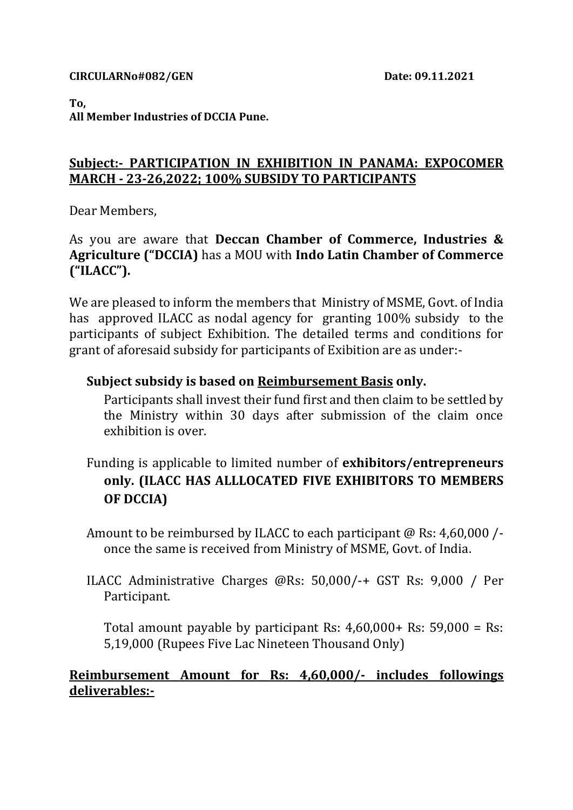#### **To,**

**All Member Industries of DCCIA Pune.**

## **Subject:- PARTICIPATION IN EXHIBITION IN PANAMA: EXPOCOMER MARCH - 23-26,2022; 100% SUBSIDY TO PARTICIPANTS**

Dear Members,

As you are aware that **Deccan Chamber of Commerce, Industries & Agriculture ("DCCIA)** has a MOU with **Indo Latin Chamber of Commerce ("ILACC").**

We are pleased to inform the members that Ministry of MSME, Govt. of India has approved ILACC as nodal agency for granting 100% subsidy to the participants of subject Exhibition. The detailed terms and conditions for grant of aforesaid subsidy for participants of Exibition are as under:-

### **Subject subsidy is based on Reimbursement Basis only.**

Participants shall invest their fund first and then claim to be settled by the Ministry within 30 days after submission of the claim once exhibition is over.

- Funding is applicable to limited number of **exhibitors/entrepreneurs only. (ILACC HAS ALLLOCATED FIVE EXHIBITORS TO MEMBERS OF DCCIA)**
- Amount to be reimbursed by ILACC to each participant  $\omega$  Rs: 4.60.000 /once the same is received from Ministry of MSME, Govt. of India.
- ILACC Administrative Charges @Rs: 50,000/-+ GST Rs: 9,000 / Per Participant.

Total amount payable by participant Rs: 4,60,000+ Rs: 59,000 = Rs: 5,19,000 (Rupees Five Lac Nineteen Thousand Only)

### **Reimbursement Amount for Rs: 4,60,000/- includes followings deliverables:-**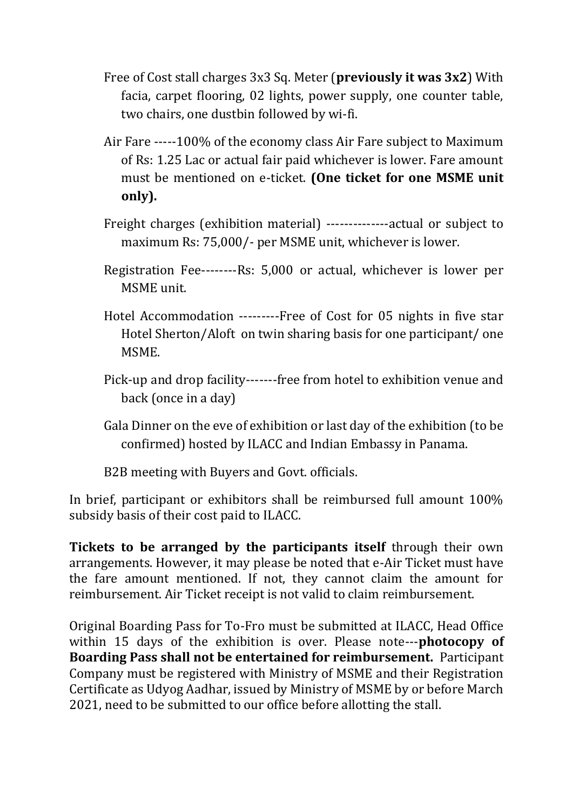- Free of Cost stall charges 3x3 Sq. Meter (**previously it was 3x2**) With facia, carpet flooring, 02 lights, power supply, one counter table, two chairs, one dustbin followed by wi-fi.
- Air Fare -----100% of the economy class Air Fare subject to Maximum of Rs: 1.25 Lac or actual fair paid whichever is lower. Fare amount must be mentioned on e-ticket. **(One ticket for one MSME unit only).**
- Freight charges (exhibition material) --------------actual or subject to maximum Rs: 75,000/- per MSME unit, whichever is lower.
- Registration Fee--------Rs: 5,000 or actual, whichever is lower per MSME unit.
- Hotel Accommodation ---------Free of Cost for 05 nights in five star Hotel Sherton/Aloft on twin sharing basis for one participant/ one MSME.
- Pick-up and drop facility-------free from hotel to exhibition venue and back (once in a day)
- Gala Dinner on the eve of exhibition or last day of the exhibition (to be confirmed) hosted by ILACC and Indian Embassy in Panama.
- B2B meeting with Buyers and Govt. officials.

In brief, participant or exhibitors shall be reimbursed full amount 100% subsidy basis of their cost paid to ILACC.

**Tickets to be arranged by the participants itself** through their own arrangements. However, it may please be noted that e-Air Ticket must have the fare amount mentioned. If not, they cannot claim the amount for reimbursement. Air Ticket receipt is not valid to claim reimbursement.

Original Boarding Pass for To-Fro must be submitted at ILACC, Head Office within 15 days of the exhibition is over. Please note---**photocopy of Boarding Pass shall not be entertained for reimbursement.** Participant Company must be registered with Ministry of MSME and their Registration Certificate as Udyog Aadhar, issued by Ministry of MSME by or before March 2021, need to be submitted to our office before allotting the stall.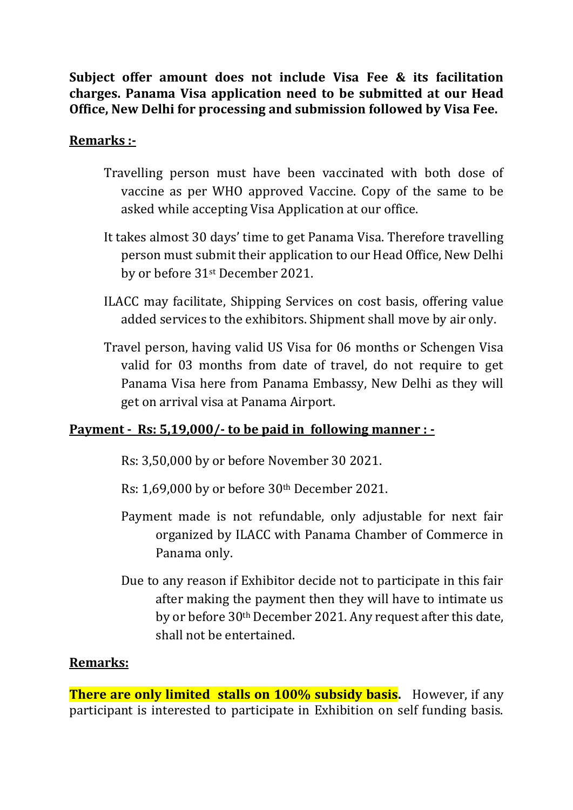**Subject offer amount does not include Visa Fee & its facilitation charges. Panama Visa application need to be submitted at our Head Office, New Delhi for processing and submission followed by Visa Fee.**

## **Remarks :-**

- Travelling person must have been vaccinated with both dose of vaccine as per WHO approved Vaccine. Copy of the same to be asked while accepting Visa Application at our office.
- It takes almost 30 days' time to get Panama Visa. Therefore travelling person must submit their application to our Head Office, New Delhi by or before 31st December 2021.
- ILACC may facilitate, Shipping Services on cost basis, offering value added services to the exhibitors. Shipment shall move by air only.
- Travel person, having valid US Visa for 06 months or Schengen Visa valid for 03 months from date of travel, do not require to get Panama Visa here from Panama Embassy, New Delhi as they will get on arrival visa at Panama Airport.

# **Payment - Rs: 5,19,000/- to be paid in following manner : -**

Rs: 3,50,000 by or before November 30 2021.

Rs: 1,69,000 by or before 30th December 2021.

- Payment made is not refundable, only adjustable for next fair organized by ILACC with Panama Chamber of Commerce in Panama only.
- Due to any reason if Exhibitor decide not to participate in this fair after making the payment then they will have to intimate us by or before 30th December 2021. Any request after this date, shall not be entertained.

### **Remarks:**

**There are only limited stalls on 100% subsidy basis.** However, if any participant is interested to participate in Exhibition on self funding basis.